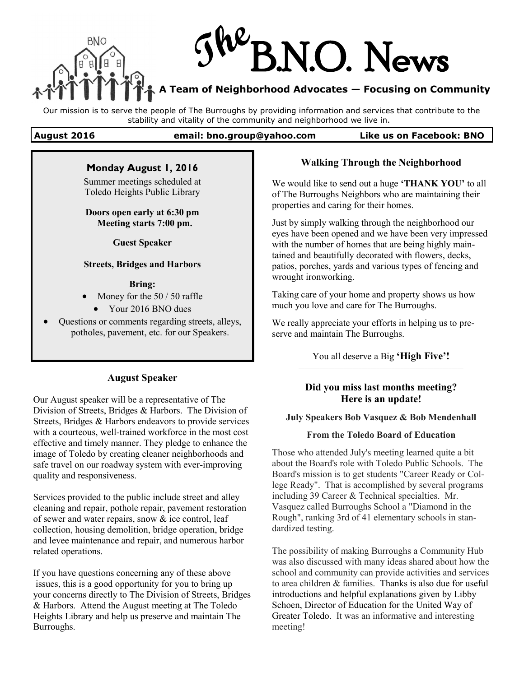

Our mission is to serve the people of The Burroughs by providing information and services that contribute to the stability and vitality of the community and neighborhood we live in.

### **August 2016 email: bno.group@yahoo.com Like us on Facebook: BNO**

## **Monday August 1, 2016**

Summer meetings scheduled at Toledo Heights Public Library

### **Doors open early at 6:30 pm Meeting starts 7:00 pm.**

**Guest Speaker**

### **Streets, Bridges and Harbors**

### **Bring:**

- Money for the 50 / 50 raffle
	- Your 2016 BNO dues
- Questions or comments regarding streets, alleys, potholes, pavement, etc. for our Speakers.

## **August Speaker**

Our August speaker will be a representative of The Division of Streets, Bridges & Harbors. The Division of Streets, Bridges & Harbors endeavors to provide services with a courteous, well-trained workforce in the most cost effective and timely manner. They pledge to enhance the image of Toledo by creating cleaner neighborhoods and safe travel on our roadway system with ever-improving quality and responsiveness.

Services provided to the public include street and alley cleaning and repair, pothole repair, pavement restoration of sewer and water repairs, snow  $\&$  ice control, leaf collection, housing demolition, bridge operation, bridge and levee maintenance and repair, and numerous harbor related operations.

If you have questions concerning any of these above issues, this is a good opportunity for you to bring up your concerns directly to The Division of Streets, Bridges & Harbors. Attend the August meeting at The Toledo Heights Library and help us preserve and maintain The Burroughs.

# **Walking Through the Neighborhood**

We would like to send out a huge **'THANK YOU'** to all of The Burroughs Neighbors who are maintaining their properties and caring for their homes.

Just by simply walking through the neighborhood our eyes have been opened and we have been very impressed with the number of homes that are being highly maintained and beautifully decorated with flowers, decks, patios, porches, yards and various types of fencing and wrought ironworking.

Taking care of your home and property shows us how much you love and care for The Burroughs.

We really appreciate your efforts in helping us to preserve and maintain The Burroughs.

> You all deserve a Big **'High Five'! \_\_\_\_\_\_\_\_\_\_\_\_\_\_\_\_\_\_\_\_\_\_\_\_\_\_\_\_\_\_\_\_\_\_\_\_\_\_\_\_\_\_\_\_\_\_\_\_\_\_\_\_\_\_\_**

# **Did you miss last months meeting? Here is an update!**

## **July Speakers Bob Vasquez & Bob Mendenhall**

### **From the Toledo Board of Education**

Those who attended July's meeting learned quite a bit about the Board's role with Toledo Public Schools. The Board's mission is to get students "Career Ready or College Ready". That is accomplished by several programs including 39 Career & Technical specialties. Mr. Vasquez called Burroughs School a "Diamond in the Rough", ranking 3rd of 41 elementary schools in standardized testing.

The possibility of making Burroughs a Community Hub was also discussed with many ideas shared about how the school and community can provide activities and services to area children & families. Thanks is also due for useful introductions and helpful explanations given by Libby Schoen, Director of Education for the United Way of Greater Toledo. It was an informative and interesting meeting!